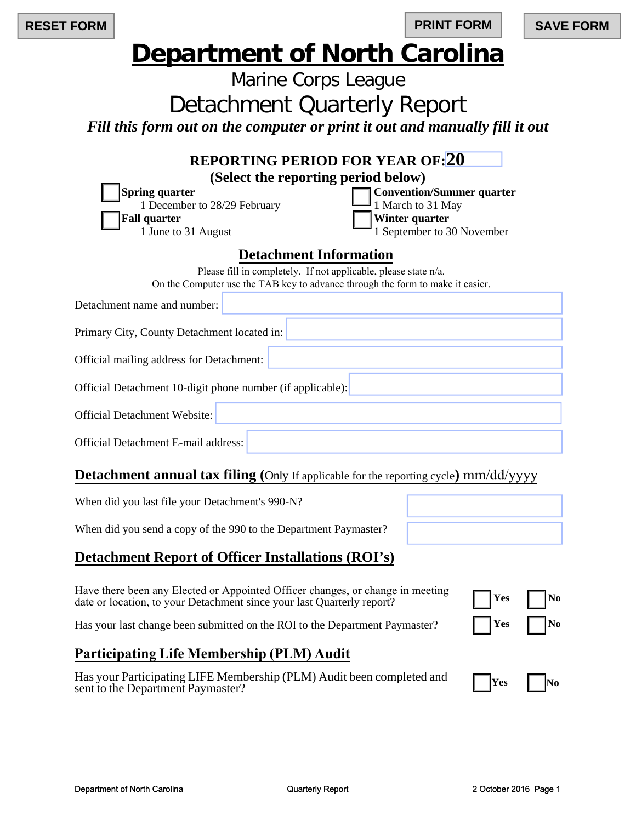| <b>RESET FORM</b> |                                                                                                     |                                                                                                                                                   | <b>PRINT FORM</b>                                                                                     |  | <b>SAVE FORM</b> |
|-------------------|-----------------------------------------------------------------------------------------------------|---------------------------------------------------------------------------------------------------------------------------------------------------|-------------------------------------------------------------------------------------------------------|--|------------------|
|                   | <b>Department of North Carolina</b>                                                                 |                                                                                                                                                   |                                                                                                       |  |                  |
|                   |                                                                                                     | Marine Corps League                                                                                                                               |                                                                                                       |  |                  |
|                   |                                                                                                     | <b>Detachment Quarterly Report</b>                                                                                                                |                                                                                                       |  |                  |
|                   |                                                                                                     | Fill this form out on the computer or print it out and manually fill it out                                                                       |                                                                                                       |  |                  |
|                   | <b>Spring quarter</b><br>1 December to 28/29 February<br><b>Fall quarter</b><br>1 June to 31 August | <b>REPORTING PERIOD FOR YEAR OF: 20</b><br>(Select the reporting period below)<br><b>Detachment Information</b>                                   | <b>Convention/Summer quarter</b><br>1 March to 31 May<br>Winter quarter<br>1 September to 30 November |  |                  |
|                   |                                                                                                     | Please fill in completely. If not applicable, please state n/a.<br>On the Computer use the TAB key to advance through the form to make it easier. |                                                                                                       |  |                  |
|                   | Detachment name and number:                                                                         |                                                                                                                                                   |                                                                                                       |  |                  |
|                   | Primary City, County Detachment located in:                                                         |                                                                                                                                                   |                                                                                                       |  |                  |
|                   | Official mailing address for Detachment:                                                            |                                                                                                                                                   |                                                                                                       |  |                  |
|                   |                                                                                                     | Official Detachment 10-digit phone number (if applicable):                                                                                        |                                                                                                       |  |                  |
|                   | <b>Official Detachment Website:</b>                                                                 |                                                                                                                                                   |                                                                                                       |  |                  |
|                   | Official Detachment E-mail address:                                                                 |                                                                                                                                                   |                                                                                                       |  |                  |
|                   |                                                                                                     | $\mathbf{D}$ doch mant annual tax filing (Only If employed for the reporting evals) $mm/dd$ ( $mmd$                                               |                                                                                                       |  |                  |

## **Detachment annual tax filing** (Only If applicable for the reporting cycle) mm/dd/yyyy

| When did you last file your Detachment's 990-N?                                                                                                          |                    |    |
|----------------------------------------------------------------------------------------------------------------------------------------------------------|--------------------|----|
| When did you send a copy of the 990 to the Department Paymaster?                                                                                         |                    |    |
| <b>Detachment Report of Officer Installations (ROI's)</b>                                                                                                |                    |    |
| Have there been any Elected or Appointed Officer changes, or change in meeting<br>date or location, to your Detachment since your last Quarterly report? | $\blacksquare$ Yes | No |
| Has your last change been submitted on the ROI to the Department Paymaster?                                                                              | $\vert$ Yes        | No |

# **Participating Life Membership (PLM) Audit**

| Has your Participating LIFE Membership (PLM) Audit been completed and |  |
|-----------------------------------------------------------------------|--|
| sent to the Department Paymaster?                                     |  |

| Yes | No |
|-----|----|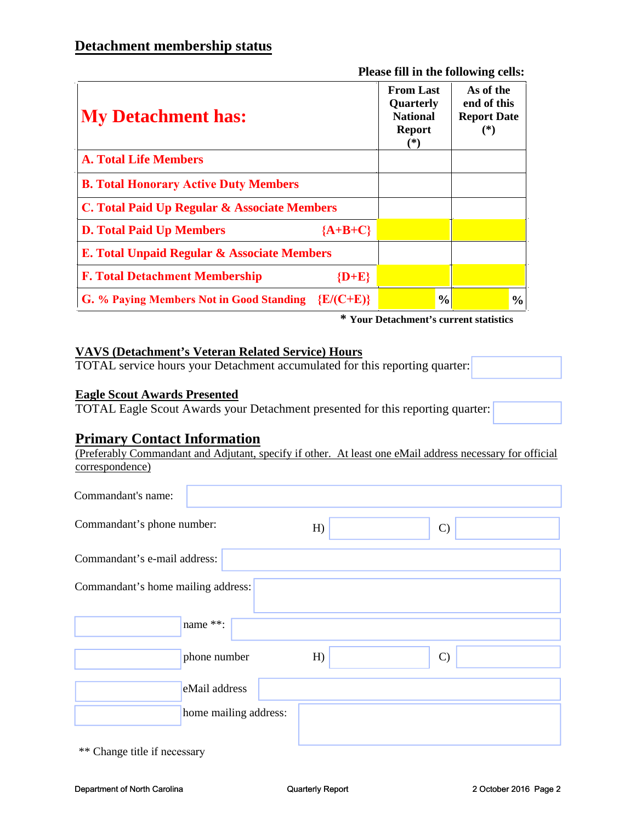**Please fill in the following cells:**

| <b>My Detachment has:</b>                              | <b>From Last</b><br>Quarterly<br><b>National</b><br><b>Report</b><br>$(*)$ | As of the<br>end of this<br><b>Report Date</b><br>$(*)$ |
|--------------------------------------------------------|----------------------------------------------------------------------------|---------------------------------------------------------|
| <b>A. Total Life Members</b>                           |                                                                            |                                                         |
| <b>B. Total Honorary Active Duty Members</b>           |                                                                            |                                                         |
| C. Total Paid Up Regular & Associate Members           |                                                                            |                                                         |
| ${A+B+C}$<br><b>D. Total Paid Up Members</b>           |                                                                            |                                                         |
| E. Total Unpaid Regular & Associate Members            |                                                                            |                                                         |
| ${D+E}$<br><b>F. Total Detachment Membership</b>       |                                                                            |                                                         |
| G. % Paying Members Not in Good Standing $\{E/(C+E)\}$ | $\frac{0}{0}$                                                              | $\frac{0}{0}$                                           |

**\* Your Detachment's current statistics**

#### **VAVS (Detachment's Veteran Related Service) Hours**

TOTAL service hours your Detachment accumulated for this reporting quarter:

#### **Eagle Scout Awards Presented**

TOTAL Eagle Scout Awards your Detachment presented for this reporting quarter:

### **Primary Contact Information**

(Preferably Commandant and Adjutant, specify if other. At least one eMail address necessary for official correspondence)

| Commandant's name:                 |                       |    |               |
|------------------------------------|-----------------------|----|---------------|
| Commandant's phone number:         |                       | H  | $\mathcal{C}$ |
| Commandant's e-mail address:       |                       |    |               |
| Commandant's home mailing address: |                       |    |               |
|                                    | name **:              |    |               |
|                                    | phone number          | H) | $\mathcal{C}$ |
|                                    | eMail address         |    |               |
|                                    | home mailing address: |    |               |

\*\* Change title if necessary